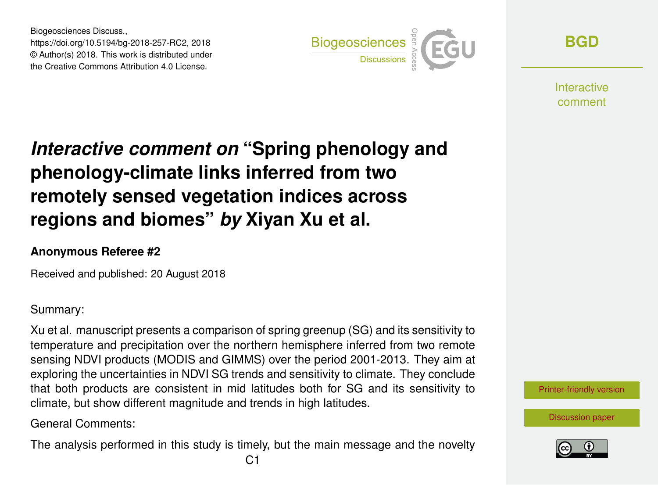Biogeosciences Discuss., https://doi.org/10.5194/bg-2018-257-RC2, 2018 © Author(s) 2018. This work is distributed under the Creative Commons Attribution 4.0 License.



**[BGD](https://www.biogeosciences-discuss.net/)**

**Interactive** comment

## *Interactive comment on* **"Spring phenology and phenology-climate links inferred from two remotely sensed vegetation indices across regions and biomes"** *by* **Xiyan Xu et al.**

## **Anonymous Referee #2**

Received and published: 20 August 2018

Summary:

Xu et al. manuscript presents a comparison of spring greenup (SG) and its sensitivity to temperature and precipitation over the northern hemisphere inferred from two remote sensing NDVI products (MODIS and GIMMS) over the period 2001-2013. They aim at exploring the uncertainties in NDVI SG trends and sensitivity to climate. They conclude that both products are consistent in mid latitudes both for SG and its sensitivity to climate, but show different magnitude and trends in high latitudes.

General Comments:

The analysis performed in this study is timely, but the main message and the novelty

[Printer-friendly version](https://www.biogeosciences-discuss.net/bg-2018-257/bg-2018-257-RC2-print.pdf)



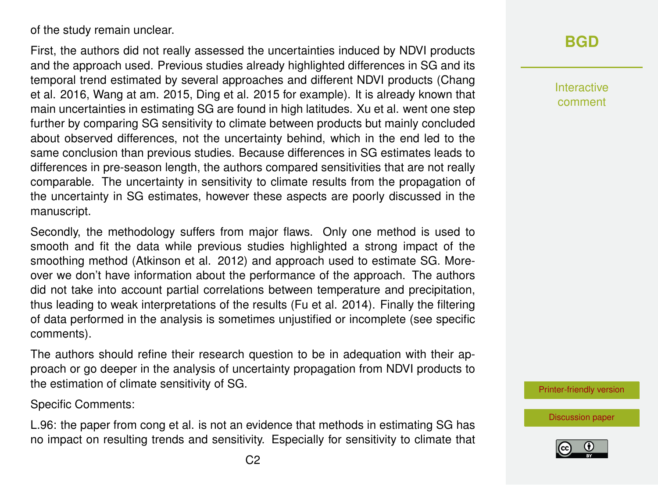of the study remain unclear.

First, the authors did not really assessed the uncertainties induced by NDVI products and the approach used. Previous studies already highlighted differences in SG and its temporal trend estimated by several approaches and different NDVI products (Chang et al. 2016, Wang at am. 2015, Ding et al. 2015 for example). It is already known that main uncertainties in estimating SG are found in high latitudes. Xu et al. went one step further by comparing SG sensitivity to climate between products but mainly concluded about observed differences, not the uncertainty behind, which in the end led to the same conclusion than previous studies. Because differences in SG estimates leads to differences in pre-season length, the authors compared sensitivities that are not really comparable. The uncertainty in sensitivity to climate results from the propagation of the uncertainty in SG estimates, however these aspects are poorly discussed in the manuscript.

Secondly, the methodology suffers from major flaws. Only one method is used to smooth and fit the data while previous studies highlighted a strong impact of the smoothing method (Atkinson et al. 2012) and approach used to estimate SG. Moreover we don't have information about the performance of the approach. The authors did not take into account partial correlations between temperature and precipitation, thus leading to weak interpretations of the results (Fu et al. 2014). Finally the filtering of data performed in the analysis is sometimes unjustified or incomplete (see specific comments).

The authors should refine their research question to be in adequation with their approach or go deeper in the analysis of uncertainty propagation from NDVI products to the estimation of climate sensitivity of SG.

Specific Comments:

L.96: the paper from cong et al. is not an evidence that methods in estimating SG has no impact on resulting trends and sensitivity. Especially for sensitivity to climate that **[BGD](https://www.biogeosciences-discuss.net/)**

Interactive comment

[Printer-friendly version](https://www.biogeosciences-discuss.net/bg-2018-257/bg-2018-257-RC2-print.pdf)

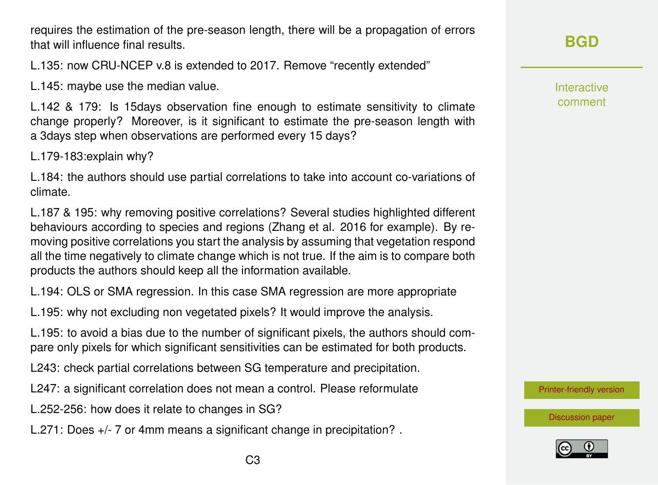requires the estimation of the pre-season length, there will be a propagation of errors that will influence final results.

L.135: now CRU-NCEP v.8 is extended to 2017. Remove "recently extended"

L.145: maybe use the median value.

L.142 & 179: Is 15days observation fine enough to estimate sensitivity to climate change properly? Moreover, is it significant to estimate the pre-season length with a 3days step when observations are performed every 15 days?

L.179-183:explain why?

L.184: the authors should use partial correlations to take into account co-variations of climate.

L.187 & 195: why removing positive correlations? Several studies highlighted different behaviours according to species and regions (Zhang et al. 2016 for example). By removing positive correlations you start the analysis by assuming that vegetation respond all the time negatively to climate change which is not true. If the aim is to compare both products the authors should keep all the information available.

L.194: OLS or SMA regression. In this case SMA regression are more appropriate

L.195: why not excluding non vegetated pixels? It would improve the analysis.

L.195: to avoid a bias due to the number of significant pixels, the authors should compare only pixels for which significant sensitivities can be estimated for both products.

L243: check partial correlations between SG temperature and precipitation.

L247: a significant correlation does not mean a control. Please reformulate

L.252-256: how does it relate to changes in SG?

L.271: Does +/- 7 or 4mm means a significant change in precipitation? .

Interactive comment

[Printer-friendly version](https://www.biogeosciences-discuss.net/bg-2018-257/bg-2018-257-RC2-print.pdf)

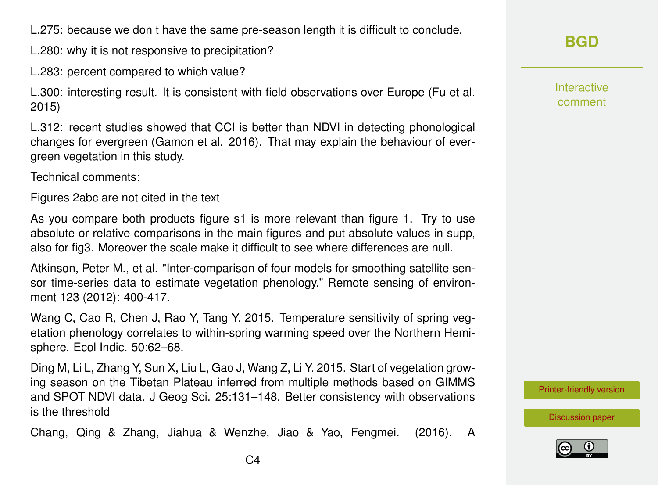L.275: because we don t have the same pre-season length it is difficult to conclude.

L.280: why it is not responsive to precipitation?

L.283: percent compared to which value?

L.300: interesting result. It is consistent with field observations over Europe (Fu et al. 2015)

L.312: recent studies showed that CCI is better than NDVI in detecting phonological changes for evergreen (Gamon et al. 2016). That may explain the behaviour of evergreen vegetation in this study.

Technical comments:

Figures 2abc are not cited in the text

As you compare both products figure s1 is more relevant than figure 1. Try to use absolute or relative comparisons in the main figures and put absolute values in supp, also for fig3. Moreover the scale make it difficult to see where differences are null.

Atkinson, Peter M., et al. "Inter-comparison of four models for smoothing satellite sensor time-series data to estimate vegetation phenology." Remote sensing of environment 123 (2012): 400-417.

Wang C, Cao R, Chen J, Rao Y, Tang Y. 2015. Temperature sensitivity of spring vegetation phenology correlates to within-spring warming speed over the Northern Hemisphere. Ecol Indic. 50:62–68.

Ding M, Li L, Zhang Y, Sun X, Liu L, Gao J, Wang Z, Li Y. 2015. Start of vegetation growing season on the Tibetan Plateau inferred from multiple methods based on GIMMS and SPOT NDVI data. J Geog Sci. 25:131–148. Better consistency with observations is the threshold

Chang, Qing & Zhang, Jiahua & Wenzhe, Jiao & Yao, Fengmei. (2016). A

Interactive comment

[Printer-friendly version](https://www.biogeosciences-discuss.net/bg-2018-257/bg-2018-257-RC2-print.pdf)